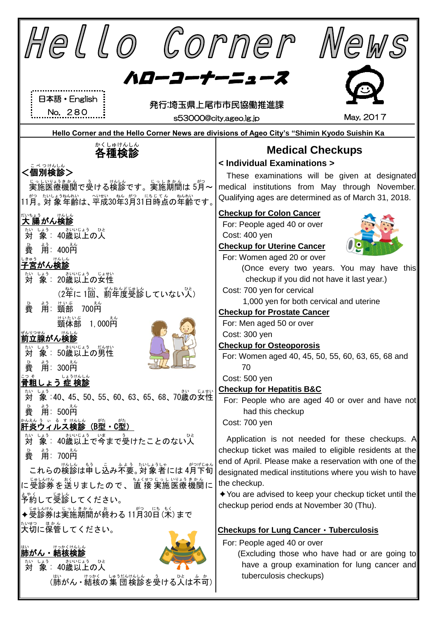| Hello Corner<br>Wews                                                                                                                                             |                                                                                                                                                                                                                                                |  |  |  |
|------------------------------------------------------------------------------------------------------------------------------------------------------------------|------------------------------------------------------------------------------------------------------------------------------------------------------------------------------------------------------------------------------------------------|--|--|--|
| ハローコーナーニュース<br>日本語・English<br>発行:埼玉県上尾市市民協働推進課<br>No. 280<br>May, 2017<br>s53000@city.ageo.lg.jp                                                                 |                                                                                                                                                                                                                                                |  |  |  |
|                                                                                                                                                                  | Hello Corner and the Hello Corner News are divisions of Ageo City's "Shimin Kyodo Suishin Ka                                                                                                                                                   |  |  |  |
| かくしゅけんしん<br>各種検診<br>こべつけんしん                                                                                                                                      | <b>Medical Checkups</b><br>< Individual Examinations >                                                                                                                                                                                         |  |  |  |
| <個別検診><br><sub>じっしいしょきかん</sub> 、ぅ<br>実施医療機関で受ける検診です。実施期間は 5月~<br>- *?、たいようなんれい、<いまい、のを、*?。 にちじてん、 ねんれい<br>11月。対 象 年齢は、平成30年3月31日時点の年齢です。                         | These examinations will be given at designated<br>medical institutions from May through November.<br>Qualifying ages are determined as of March 31, 2018.                                                                                      |  |  |  |
| ないちょう けんしん<br>しょう さいじょう ひと<br><b>象:40歳以上の人</b><br>たい<br><b>対</b><br>ょぅ<br>用: 400円<br>費                                                                           | <b>Checkup for Colon Cancer</b><br>For: People aged 40 or over<br>Cost: 400 yen<br><b>Checkup for Uterine Cancer</b>                                                                                                                           |  |  |  |
| <sub>じきゅう</sub><br><b>子宮がん検診</b><br>ないしょう さいじょう じょせい<br>(2年に1回、前年度受診していない)                                                                                       | For: Women aged 20 or over<br>(Once every two years. You may have this<br>checkup if you did not have it last year.)<br>Cost: 700 yen for cervical                                                                                             |  |  |  |
| サいぶ<br>頸部<br><u> 絹:</u><br>700善<br>費<br><sub>けいたいぶ</sub><br>頸体部<br>1, 000 $\rm \tilde{\bar{H}}^{\hat{\tilde{\lambda}}\hat{\tilde{\Sigma}}}$<br>ぜんりつせん<br>前立腺がん検診 | 1,000 yen for both cervical and uterine<br><b>Checkup for Prostate Cancer</b><br>For: Men aged 50 or over<br>Cost: 300 yen                                                                                                                     |  |  |  |
| 妙 象<br>,<br>用:300円<br>費<br><u> こっそ</u><br><mark>骨粗しょう 症 検診</mark>                                                                                                | <b>Checkup for Osteoporosis</b><br>For: Women aged 40, 45, 50, 55, 60, 63, 65, 68 and<br>70<br>Cost: 500 yen<br><b>Checkup for Hepatitis B&amp;C</b>                                                                                           |  |  |  |
| ないしょう<br>対 象:40、45、50、55、60、63、65、68、70歳の女性<br>用: 500 <mark>码</mark><br>費<br>、。。。<br>ハイルス検診<br>(B型・C型)<br>肝炎ウ                                                    | For: People who are aged 40 or over and have not<br>had this checkup<br>Cost: 700 yen                                                                                                                                                          |  |  |  |
| 対<br>費<br>がつげじゅん<br>これらの検診は申し込み不要。対象者には4月下旬                                                                                                                      | Application is not needed for these checkups. A<br>checkup ticket was mailed to eligible residents at the<br>end of April. Please make a reservation with one of the<br>designated medical institutions where you wish to have<br>the checkup. |  |  |  |
| ま。、<br>予約して受診してください。<br>◆受診券は実施期間が終わる 11月30日 (米)まで                                                                                                               | $\triangle$ You are advised to keep your checkup ticket until the<br>checkup period ends at November 30 (Thu).                                                                                                                                 |  |  |  |
| <u>たいせっ</u><br><b>大切に保管してください。</b><br>肺がん・結核検<br>40歳以上の人<br>対<br>象:<br>(肺がん ・結核の集 団検診を受ける人は不可)                                                                   | Checkups for Lung Cancer · Tuberculosis<br>For: People aged 40 or over<br>(Excluding those who have had or are going to<br>have a group examination for lung cancer and<br>tuberculosis checkups)                                              |  |  |  |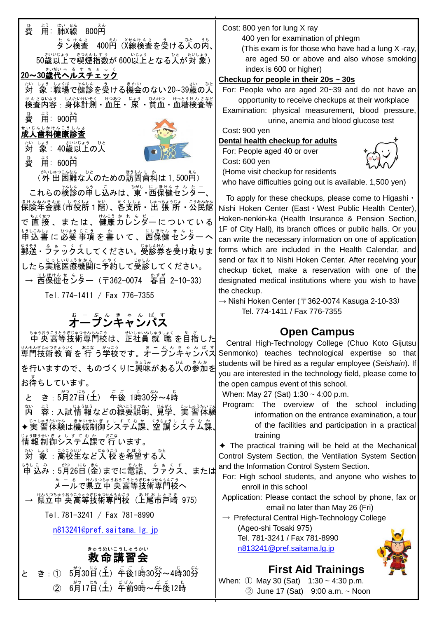| 。<br>費 | はい せん<br>用: 肺X線 800円 | えん |                                             |
|--------|----------------------|----|---------------------------------------------|
|        | たんけんさ えん             |    | Xせんけんさ う ひと うち ┃<br>タン検査 400円 (X線検査を受ける人の内、 |

50歳以上で喫煙指数が 600以上となる人が対象)

### 20~30歳代へルスチェック<br>20~30歳代ヘルスチェック

対 たい しょぅ しょくば けんしん さう しょぁふい<br>- 象:職場で健診を受ける機会のない20~39歳の人 サんきないよう しんたいけいそく けつあつ じょう ひけつ けっとうけんきなど

。<br>費 。<br>用:900円

#### <sub>せいじんしかけんこうしんさ</sub><br>成人歯科健康診査

。<br>対 象: 40歳以上の人



。<br>費 用: 600円

、<sub>がいしゅつこんなん。。</sub>。。<br>(外 出 困難な人のための訪問歯科は 1,500円)

これらの検診の申し込みは、東・西保健センター  $\ddot{\phantom{0}}$ ほけんねんきんか、しゃくしょ。しゅっちょうじょ こうみんかん<br>保険年金課(市役所1階)、各支所・出 張 所・公民館 で直接 、または、健康カレンダーについている 申込書 もうしこみしょ に 必要 ひつよう 事項 じこう を 書 か いて、 西保健 にしほけん センター せんたー へ ◎⋾€ぅ、△ ぁ。◇´★ ∪てください。受診券を受け取りま したら実施医療機関に予約して受診してください。 → 西保健センター (〒362-0074 春日 2-10-33) Tel.774-1411 / Fax 776-7355

# <u>ょージッキャンパス</u>

 中 央 ちゅうおう 高等 こうとう 技術 ぎじゅつ 専門校 せんもんこう は、正社員 せいしゃいん 就 職 しゅうしょく を目指 め ざ した 専門 せんもん 技術 ぎじゅつ 教 育 きょういく を 行 おこな う学校 がっこう です。オープンキャンパス お ー ぷ ん き ゃ ん ぱ す を行いますので、ものづくりに興味がある人の参加を お待 ま ちしています。

と き : 5月27日(土) 午後 1時30労~4時 内 ない 終: 入試情 報などの概要説明、見学、実 習体験 ◆実 習 体験は機械制御システム課、空 調 システム課、 <sub>じょうほうせいぎょ しす て む か ーおこな<br>情 報 制 御 システム課で 行 います。</sub> <sub>ないしょう</sub> ……。<br>対 象 : 高校生など入 校 を希望する人 <u>ょうしこみ</u> : 5<sup>約</sup>26日(釜) までに電話、うァクス、または

ぁ゠ぁ゠ゖヘリっ<del>゚</del>ゅぅぉぅ゠ぅ<sub>ぎ</sub>゚゜゠。゚゚゚゚ゕぇぅ<br>**メールで県立中 央高等技術専門校へ** 

→ 県立中央高等技術専門校(上尾市戸崎 975)

Tel.781-3241 / Fax 781-8990

[n813241@pref.saitama.lg.jp](mailto:n813241@pref.saitama.lg.jp)

#### 救 命 講習会 きゅうめい こうしゅうかい

と き:① 5月30日(土) 年後1時30労~4時30労 ② 6月17日(土)「千前9時~年後12時

Cost: 800 yen for lung X ray

400 yen for examination of phlegm

(This exam is for those who have had a lung X -ray, are aged 50 or above and also whose smoking index is 600 or higher)

#### **Checkup for people in their 20s ~ 30s**

For: People who are aged 20~39 and do not have an opportunity to receive checkups at their workplace

Examination: physical measurement, blood pressure, urine, anemia and blood glucose test

Cost: 900 yen

#### **Dental health checkup for adults**

For: People aged 40 or over Cost: 600 yen (Home visit checkup for residents



who have difficulties going out is available. 1,500 yen)

To apply for these checkups, please come to Higashi・ Nishi Hoken Center (East・West Public Health Center), Hoken-nenkin-ka (Health Insurance & Pension Section, 1F of City Hall), its branch offices or public halls. Or you can write the necessary information on one of application forms which are included in the Health Calendar, and send or fax it to Nishi Hoken Center. After receiving your checkup ticket, make a reservation with one of the designated medical institutions where you wish to have the checkup.

 $\rightarrow$  Nishi Hoken Center ( $\overline{T}$ 362-0074 Kasuga 2-10-33) Tel. 774-1411 / Fax 776-7355

### **Open Campus**

Central High-Technology College (Chuo Koto Gijutsu Senmonko) teaches technological expertise so that students will be hired as a regular employee (*Seishain*). If you are interested in the technology field, please come to the open campus event of this school.

When: May 27 (Sat) 1:30 ~ 4:00 p.m.

Program: The overview of the school including information on the entrance examination, a tour of the facilities and participation in a practical training

✦ The practical training will be held at the Mechanical Control System Section, the Ventilation System Section and the Information Control System Section.

For: High school students, and anyone who wishes to enroll in this school

Application: Please contact the school by phone, fax or email no later than May 26 (Fri)

 $\rightarrow$  Prefectural Central High-Technology College (Ageo-shi Tosaki 975)

 Tel. 781-3241 / Fax 781-8990 [n813241@pref.saitama.lg.jp](mailto:n813241@pref.saitama.lg.jp)



**First Aid Trainings** When: ① May 30 (Sat) 1:30 ~ 4:30 p.m. ② June 17 (Sat) 9:00 a.m. ~ Noon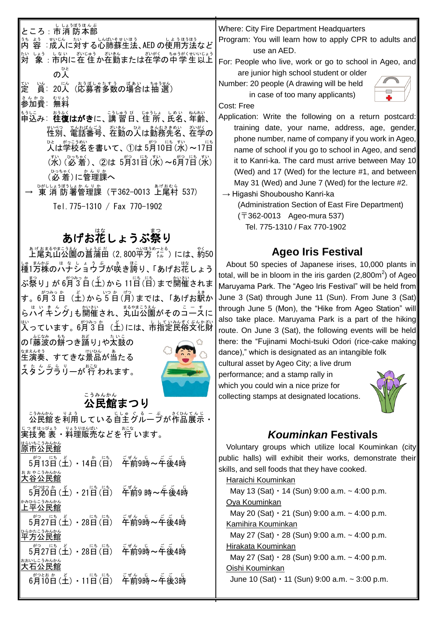ところ : 市消 防本部 きもおしい。ない。<br>内 容:成人に対する心肺蘇生法、AED の使用方法など 対 たい しょう しない むいもある。 おがく ちゅうがくせいいしょう<br>- 象 :市内に在 住 か在勤または在学の中 学 生 以上 の人 ひと 定 てい |当:20人(応募者多数の場合は抽 選) まんかひ むりょう<br>**参加費**:無料 も<sub>うしこ</sub> 。。。<br>申込み: **往復はがき**に、講 習日、住 所 、氏名 、年齢 、 性別 せいべつ 、電話番号 でんわばんごう 、在勤 ざいきん の人 ひと は勤務先名 きんむさきめい 、在学 ざいがく の 。<br>人は学校名を書いて、①は 5月10日(水) ~17日 (水) (必着)、②は 5月31日(水)~6月7日(水)│ (必着)に管理課へ

→ 東消防署管理課(〒362-0013 上尾村 537) Tel.775-1310 / Fax 770-1902

## あげお花しょうぶ祭り

ぁゖぉまるゃまこぅぇん しょぅぶ だ<br>**上尾丸山公園の菖蒲田(2, 800平方**〈た )には、約50 しゅ まんぶ のバチショウゔが咲き誇り、「あげお花しょう ぶ祭り」 が 6月3白(王)から 11日(日)まで開催されま す。6月3日(土) から5日(月) までは、「あげお駅か \_ ょ、、 まん。<br>らハイキング」も開催され、丸山公園がそのコースに い、<br>入っています。6月3日(土)には、市指定民俗文化財

の「藤波の餅つき踊り」や太鼓の 。<br>生演奏、すてきな景品が当たる またんぷうりーが 行 われます。



## ごうみんかん<br>**公民館まつり**



Where: City Fire Department Headquarters

Program: You will learn how to apply CPR to adults and use an AED.

For: People who live, work or go to school in Ageo, and are junior high school student or older

Number: 20 people (A drawing will be held in case of too many applicants)



Cost: Free

Application: Write the following on a return postcard: training date, your name, address, age, gender, phone number, name of company if you work in Ageo, name of school if you go to school in Ageo, and send it to Kanri-ka. The card must arrive between May 10 (Wed) and 17 (Wed) for the lecture #1, and between May 31 (Wed) and June 7 (Wed) for the lecture #2. → Higashi Shoubousho Kanri-ka

(Administration Section of East Fire Department) (〒362-0013 Ageo-mura 537)

Tel. 775-1310 / Fax 770-1902

#### **Ageo Iris Festival**

About 50 species of Japanese irises, 10,000 plants in total, will be in bloom in the iris garden (2,800m<sup>2</sup>) of Ageo Maruyama Park. The "Ageo Iris Festival" will be held from June 3 (Sat) through June 11 (Sun). From June 3 (Sat) through June 5 (Mon), the "Hike from Ageo Station" will also take place. Maruyama Park is a part of the hiking route. On June 3 (Sat), the following events will be held there: the "Fujinami Mochi-tsuki Odori (rice-cake making dance)," which is designated as an intangible folk

cultural asset by Ageo City; a live drum performance; and a stamp rally in which you could win a nice prize for collecting stamps at designated locations.



### *Kouminkan* **Festivals**

Voluntary groups which utilize local Kouminkan (city public halls) will exhibit their works, demonstrate their skills, and sell foods that they have cooked.

Haraichi Kouminkan

May 13 (Sat)  $\cdot$  14 (Sun) 9:00 a.m.  $\sim$  4:00 p.m. Oya Kouminkan May 20 (Sat)  $\cdot$  21 (Sun) 9:00 a.m.  $\sim$  4:00 p.m. Kamihira Kouminkan May 27 (Sat)  $\cdot$  28 (Sun) 9:00 a.m.  $\sim$  4:00 p.m. Hirakata Kouminkan May 27 (Sat)  $\cdot$  28 (Sun) 9:00 a.m.  $\sim$  4:00 p.m. Oishi Kouminkan June 10 (Sat)  $\cdot$  11 (Sun) 9:00 a.m.  $\sim$  3:00 p.m.